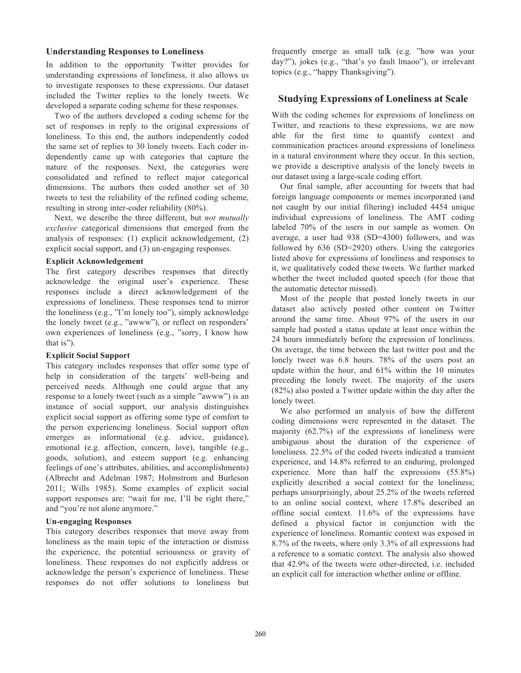#### **Understanding Responses to Loneliness**

In addition to the opportunity Twitter provides for understanding expressions of loneliness, it also allows us to investigate responses to these expressions. Our dataset included the Twitter replies to the lonely tweets. We developed a separate coding scheme for these responses.

Two of the authors developed a coding scheme for the set of responses in reply to the original expressions of loneliness. To this end, the authors independently coded the same set of replies to 30 lonely tweets. Each coder independently came up with categories that capture the nature of the responses. Next, the categories were consolidated and refined to reflect major categorical dimensions. The authors then coded another set of 30 tweets to test the reliability of the refined coding scheme, resulting in strong inter-coder reliability (80%).

Next, we describe the three different, but *not mutually exclusive* categorical dimensions that emerged from the analysis of responses: (1) explicit acknowledgement, (2) explicit social support, and (3) un-engaging responses.

#### **Explicit Acknowledgement**

The first category describes responses that directly acknowledge the original user's experience. These responses include a direct acknowledgement of the expressions of loneliness. These responses tend to mirror the loneliness (e.g., "I'm lonely too"), simply acknowledge the lonely tweet (e.g., "awww"), or reflect on responders' own experiences of loneliness (e.g., "sorry, I know how that is").

### **Explicit Social Support**

This category includes responses that offer some type of help in consideration of the targets' well-being and perceived needs. Although one could argue that any response to a lonely tweet (such as a simple "awww") is an instance of social support, our analysis distinguishes explicit social support as offering some type of comfort to the person experiencing loneliness. Social support often emerges as informational (e.g. advice, guidance), emotional (e.g. affection, concern, love), tangible (e.g., goods, solution), and esteem support (e.g. enhancing feelings of one's attributes, abilities, and accomplishments) (Albrecht and Adelman 1987; Holmstrom and Burleson 2011; Wills 1985). Some examples of explicit social support responses are: "wait for me, I'll be right there," and "you're not alone anymore."

### **Un-engaging Responses**

This category describes responses that move away from loneliness as the main topic of the interaction or dismiss the experience, the potential seriousness or gravity of loneliness. These responses do not explicitly address or acknowledge the person's experience of loneliness. These responses do not offer solutions to loneliness but

frequently emerge as small talk (e.g. "how was your day?"), jokes (e.g., "that's yo fault lmaoo"), or irrelevant topics (e.g., "happy Thanksgiving").

## **Studying Expressions of Loneliness at Scale**

With the coding schemes for expressions of loneliness on Twitter, and reactions to these expressions, we are now able for the first time to quantify context and communication practices around expressions of loneliness in a natural environment where they occur. In this section, we provide a descriptive analysis of the lonely tweets in our dataset using a large-scale coding effort.

Our final sample, after accounting for tweets that had foreign language components or memes incorporated (and not caught by our initial filtering) included 4454 unique individual expressions of loneliness. The AMT coding labeled 70% of the users in our sample as women. On average, a user had 938 (SD=4300) followers, and was followed by 636 (SD=2920) others. Using the categories listed above for expressions of loneliness and responses to it, we qualitatively coded these tweets. We further marked whether the tweet included quoted speech (for those that the automatic detector missed).

Most of the people that posted lonely tweets in our dataset also actively posted other content on Twitter around the same time. About 97% of the users in our sample had posted a status update at least once within the 24 hours immediately before the expression of loneliness. On average, the time between the last twitter post and the lonely tweet was 6.8 hours. 78% of the users post an update within the hour, and 61% within the 10 minutes preceding the lonely tweet. The majority of the users (82%) also posted a Twitter update within the day after the lonely tweet.

We also performed an analysis of how the different coding dimensions were represented in the dataset. The majority (62.7%) of the expressions of loneliness were ambiguous about the duration of the experience of loneliness. 22.5% of the coded tweets indicated a transient experience, and 14.8% referred to an enduring, prolonged experience. More than half the expressions (55.8%) explicitly described a social context for the loneliness; perhaps unsurprisingly, about 25.2% of the tweets referred to an online social context, where 17.8% described an offline social context. 11.6% of the expressions have defined a physical factor in conjunction with the experience of loneliness. Romantic context was exposed in 8.7% of the tweets, where only 3.3% of all expressions had a reference to a somatic context. The analysis also showed that 42.9% of the tweets were other-directed, i.e. included an explicit call for interaction whether online or offline.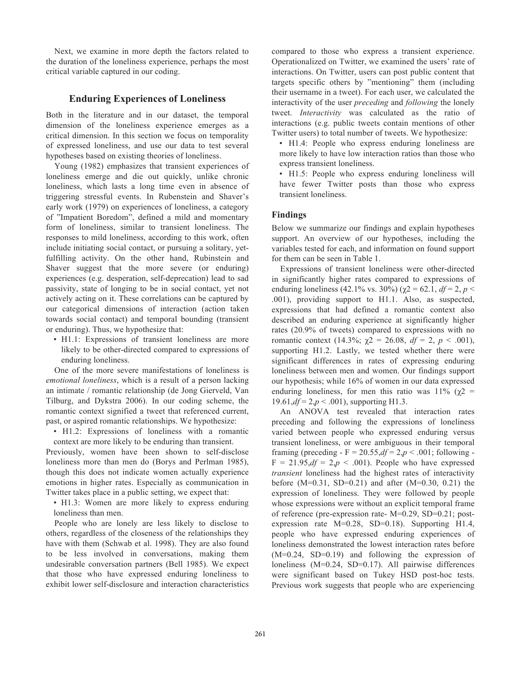Next, we examine in more depth the factors related to the duration of the loneliness experience, perhaps the most critical variable captured in our coding.

# **Enduring Experiences of Loneliness**

Both in the literature and in our dataset, the temporal dimension of the loneliness experience emerges as a critical dimension. In this section we focus on temporality of expressed loneliness, and use our data to test several hypotheses based on existing theories of loneliness.

Young (1982) emphasizes that transient experiences of loneliness emerge and die out quickly, unlike chronic loneliness, which lasts a long time even in absence of triggering stressful events. In Rubenstein and Shaver's early work (1979) on experiences of loneliness, a category of "Impatient Boredom", defined a mild and momentary form of loneliness, similar to transient loneliness. The responses to mild loneliness, according to this work, often include initiating social contact, or pursuing a solitary, yetfulfilling activity. On the other hand, Rubinstein and Shaver suggest that the more severe (or enduring) experiences (e.g. desperation, self-deprecation) lead to sad passivity, state of longing to be in social contact, yet not actively acting on it. These correlations can be captured by our categorical dimensions of interaction (action taken towards social contact) and temporal bounding (transient or enduring). Thus, we hypothesize that:

• H1.1: Expressions of transient loneliness are more likely to be other-directed compared to expressions of enduring loneliness.

One of the more severe manifestations of loneliness is *emotional loneliness*, which is a result of a person lacking an intimate / romantic relationship (de Jong Gierveld, Van Tilburg, and Dykstra 2006). In our coding scheme, the romantic context signified a tweet that referenced current, past, or aspired romantic relationships. We hypothesize:

• H1.2: Expressions of loneliness with a romantic context are more likely to be enduring than transient.

Previously, women have been shown to self-disclose loneliness more than men do (Borys and Perlman 1985), though this does not indicate women actually experience emotions in higher rates. Especially as communication in Twitter takes place in a public setting, we expect that:

• H1.3: Women are more likely to express enduring loneliness than men.

People who are lonely are less likely to disclose to others, regardless of the closeness of the relationships they have with them (Schwab et al. 1998). They are also found to be less involved in conversations, making them undesirable conversation partners (Bell 1985). We expect that those who have expressed enduring loneliness to exhibit lower self-disclosure and interaction characteristics

compared to those who express a transient experience. Operationalized on Twitter, we examined the users' rate of interactions. On Twitter, users can post public content that targets specific others by "mentioning" them (including their username in a tweet). For each user, we calculated the interactivity of the user *preceding* and *following* the lonely tweet. *Interactivity* was calculated as the ratio of interactions (e.g. public tweets contain mentions of other Twitter users) to total number of tweets. We hypothesize:

• H1.4: People who express enduring loneliness are more likely to have low interaction ratios than those who express transient loneliness.

• H1.5: People who express enduring loneliness will have fewer Twitter posts than those who express transient loneliness.

## **Findings**

Below we summarize our findings and explain hypotheses support. An overview of our hypotheses, including the variables tested for each, and information on found support for them can be seen in Table 1.

Expressions of transient loneliness were other-directed in significantly higher rates compared to expressions of enduring loneliness (42.1% vs. 30%) ( $\gamma$ 2 = 62.1, *df* = 2, *p* < .001), providing support to H1.1. Also, as suspected, expressions that had defined a romantic context also described an enduring experience at significantly higher rates (20.9% of tweets) compared to expressions with no romantic context (14.3%;  $\gamma$ 2 = 26.08,  $df = 2$ ,  $p < .001$ ), supporting H1.2. Lastly, we tested whether there were significant differences in rates of expressing enduring loneliness between men and women. Our findings support our hypothesis; while 16% of women in our data expressed enduring loneliness, for men this ratio was  $11\%$  ( $\gamma$ 2 =  $19.61, df = 2, p < .001$ ), supporting H1.3.

An ANOVA test revealed that interaction rates preceding and following the expressions of loneliness varied between people who expressed enduring versus transient loneliness, or were ambiguous in their temporal framing (preceding -  $F = 20.55$ ,  $df = 2$ ,  $p < .001$ ; following - $F = 21.95$ ,  $df = 2$ ,  $p < .001$ ). People who have expressed *transient* loneliness had the highest rates of interactivity before  $(M=0.31, SD=0.21)$  and after  $(M=0.30, 0.21)$  the expression of loneliness. They were followed by people whose expressions were without an explicit temporal frame of reference (pre-expression rate- M=0.29, SD=0.21; postexpression rate M=0.28, SD=0.18). Supporting H1.4, people who have expressed enduring experiences of loneliness demonstrated the lowest interaction rates before  $(M=0.24, SD=0.19)$  and following the expression of loneliness (M=0.24, SD=0.17). All pairwise differences were significant based on Tukey HSD post-hoc tests. Previous work suggests that people who are experiencing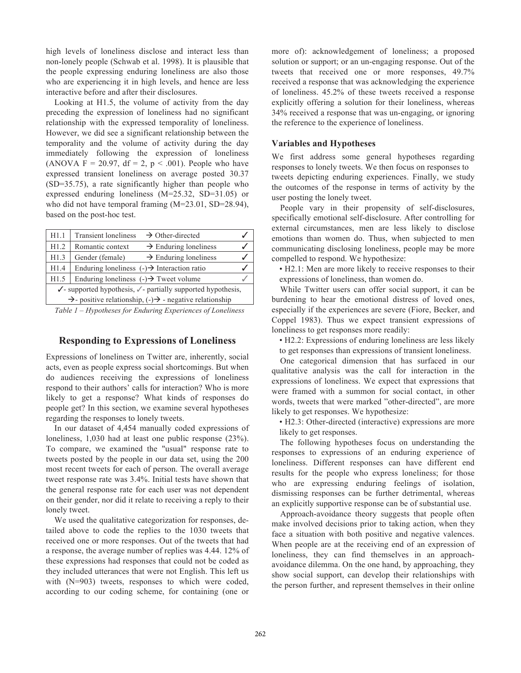high levels of loneliness disclose and interact less than non-lonely people (Schwab et al. 1998). It is plausible that the people expressing enduring loneliness are also those who are experiencing it in high levels, and hence are less interactive before and after their disclosures.

Looking at H1.5, the volume of activity from the day preceding the expression of loneliness had no significant relationship with the expressed temporality of loneliness. However, we did see a significant relationship between the temporality and the volume of activity during the day immediately following the expression of loneliness (ANOVA F = 20.97, df = 2,  $p < .001$ ). People who have expressed transient loneliness on average posted 30.37 (SD=35.75), a rate significantly higher than people who expressed enduring loneliness (M=25.32, SD=31.05) or who did not have temporal framing (M=23.01, SD=28.94), based on the post-hoc test.

| H1.1                                                                              | <b>Transient loneliness</b><br>$\rightarrow$ Other-directed |  |  |
|-----------------------------------------------------------------------------------|-------------------------------------------------------------|--|--|
| H1.2                                                                              | Romantic context<br>$\rightarrow$ Enduring loneliness       |  |  |
| H1.3                                                                              | Gender (female)<br>$\rightarrow$ Enduring loneliness        |  |  |
| H1.4                                                                              | Enduring loneliness $(\cdot)$ + Interaction ratio           |  |  |
| H1.5                                                                              | Enduring loneliness $(\cdot)$ Tweet volume                  |  |  |
| $\checkmark$ -supported hypothesis, $\checkmark$ -partially supported hypothesis, |                                                             |  |  |
| $\rightarrow$ - positive relationship, (-) $\rightarrow$ - negative relationship  |                                                             |  |  |

*Table 1 – Hypotheses for Enduring Experiences of Loneliness*

### **Responding to Expressions of Loneliness**

Expressions of loneliness on Twitter are, inherently, social acts, even as people express social shortcomings. But when do audiences receiving the expressions of loneliness respond to their authors' calls for interaction? Who is more likely to get a response? What kinds of responses do people get? In this section, we examine several hypotheses regarding the responses to lonely tweets.

In our dataset of 4,454 manually coded expressions of loneliness, 1,030 had at least one public response (23%). To compare, we examined the "usual" response rate to tweets posted by the people in our data set, using the 200 most recent tweets for each of person. The overall average tweet response rate was 3.4%. Initial tests have shown that the general response rate for each user was not dependent on their gender, nor did it relate to receiving a reply to their lonely tweet.

We used the qualitative categorization for responses, detailed above to code the replies to the 1030 tweets that received one or more responses. Out of the tweets that had a response, the average number of replies was 4.44. 12% of these expressions had responses that could not be coded as they included utterances that were not English. This left us with (N=903) tweets, responses to which were coded, according to our coding scheme, for containing (one or

more of): acknowledgement of loneliness; a proposed solution or support; or an un-engaging response. Out of the tweets that received one or more responses, 49.7% received a response that was acknowledging the experience of loneliness. 45.2% of these tweets received a response explicitly offering a solution for their loneliness, whereas 34% received a response that was un-engaging, or ignoring the reference to the experience of loneliness.

#### **Variables and Hypotheses**

We first address some general hypotheses regarding responses to lonely tweets. We then focus on responses to tweets depicting enduring experiences. Finally, we study the outcomes of the response in terms of activity by the user posting the lonely tweet.

People vary in their propensity of self-disclosures, specifically emotional self-disclosure. After controlling for external circumstances, men are less likely to disclose emotions than women do. Thus, when subjected to men communicating disclosing loneliness, people may be more compelled to respond. We hypothesize:

• H2.1: Men are more likely to receive responses to their expressions of loneliness, than women do.

While Twitter users can offer social support, it can be burdening to hear the emotional distress of loved ones, especially if the experiences are severe (Fiore, Becker, and Coppel 1983). Thus we expect transient expressions of loneliness to get responses more readily:

• H2.2: Expressions of enduring loneliness are less likely to get responses than expressions of transient loneliness.

One categorical dimension that has surfaced in our qualitative analysis was the call for interaction in the expressions of loneliness. We expect that expressions that were framed with a summon for social contact, in other words, tweets that were marked "other-directed", are more likely to get responses. We hypothesize:

• H2.3: Other-directed (interactive) expressions are more likely to get responses.

The following hypotheses focus on understanding the responses to expressions of an enduring experience of loneliness. Different responses can have different end results for the people who express loneliness; for those who are expressing enduring feelings of isolation, dismissing responses can be further detrimental, whereas an explicitly supportive response can be of substantial use.

Approach-avoidance theory suggests that people often make involved decisions prior to taking action, when they face a situation with both positive and negative valences. When people are at the receiving end of an expression of loneliness, they can find themselves in an approachavoidance dilemma. On the one hand, by approaching, they show social support, can develop their relationships with the person further, and represent themselves in their online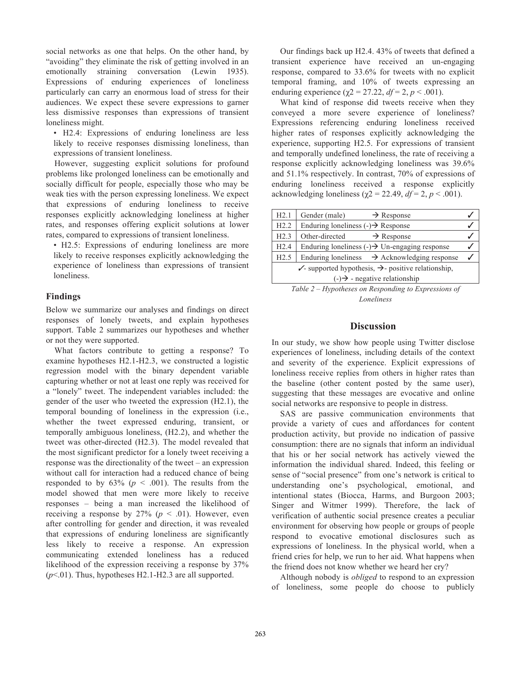social networks as one that helps. On the other hand, by "avoiding" they eliminate the risk of getting involved in an emotionally straining conversation (Lewin 1935). Expressions of enduring experiences of loneliness particularly can carry an enormous load of stress for their audiences. We expect these severe expressions to garner less dismissive responses than expressions of transient loneliness might.

• H2.4: Expressions of enduring loneliness are less likely to receive responses dismissing loneliness, than expressions of transient loneliness.

However, suggesting explicit solutions for profound problems like prolonged loneliness can be emotionally and socially difficult for people, especially those who may be weak ties with the person expressing loneliness. We expect that expressions of enduring loneliness to receive responses explicitly acknowledging loneliness at higher rates, and responses offering explicit solutions at lower rates, compared to expressions of transient loneliness.

• H2.5: Expressions of enduring loneliness are more likely to receive responses explicitly acknowledging the experience of loneliness than expressions of transient loneliness.

### **Findings**

Below we summarize our analyses and findings on direct responses of lonely tweets, and explain hypotheses support. Table 2 summarizes our hypotheses and whether or not they were supported.

What factors contribute to getting a response? To examine hypotheses H2.1-H2.3, we constructed a logistic regression model with the binary dependent variable capturing whether or not at least one reply was received for a "lonely" tweet. The independent variables included: the gender of the user who tweeted the expression (H2.1), the temporal bounding of loneliness in the expression (i.e., whether the tweet expressed enduring, transient, or temporally ambiguous loneliness, (H2.2), and whether the tweet was other-directed (H2.3). The model revealed that the most significant predictor for a lonely tweet receiving a response was the directionality of the tweet – an expression without call for interaction had a reduced chance of being responded to by  $63\%$  ( $p < .001$ ). The results from the model showed that men were more likely to receive responses – being a man increased the likelihood of receiving a response by  $27\%$  ( $p \le 0.01$ ). However, even after controlling for gender and direction, it was revealed that expressions of enduring loneliness are significantly less likely to receive a response. An expression communicating extended loneliness has a reduced likelihood of the expression receiving a response by 37%  $(p<.01)$ . Thus, hypotheses H2.1-H2.3 are all supported.

Our findings back up H2.4. 43% of tweets that defined a transient experience have received an un-engaging response, compared to 33.6% for tweets with no explicit temporal framing, and 10% of tweets expressing an enduring experience ( $\gamma$ 2 = 27.22, *df* = 2, *p* < .001).

What kind of response did tweets receive when they conveyed a more severe experience of loneliness? Expressions referencing enduring loneliness received higher rates of responses explicitly acknowledging the experience, supporting H2.5. For expressions of transient and temporally undefined loneliness, the rate of receiving a response explicitly acknowledging loneliness was 39.6% and 51.1% respectively. In contrast, 70% of expressions of enduring loneliness received a response explicitly acknowledging loneliness ( $\gamma$ 2 = 22.49, *df* = 2, *p* < .001).

| H2.1                                                                   | Gender (male)<br>$\rightarrow$ Response                                     |  |  |
|------------------------------------------------------------------------|-----------------------------------------------------------------------------|--|--|
| H2.2                                                                   | Enduring loneliness $\left(\cdot\right) \rightarrow$ Response               |  |  |
| H2.3                                                                   | Other-directed<br>$\rightarrow$ Response                                    |  |  |
| H2.4                                                                   | Enduring loneliness $\left( \cdot \right) \rightarrow$ Un-engaging response |  |  |
| H2.5                                                                   | Enduring loneliness $\rightarrow$ Acknowledging response                    |  |  |
| $\checkmark$ -supported hypothesis, $\hatmark$ -positive relationship, |                                                                             |  |  |
| $\left(\frac{1}{2}\right)$ - negative relationship                     |                                                                             |  |  |

*Table 2 – Hypotheses on Responding to Expressions of Loneliness*

### **Discussion**

In our study, we show how people using Twitter disclose experiences of loneliness, including details of the context and severity of the experience. Explicit expressions of loneliness receive replies from others in higher rates than the baseline (other content posted by the same user), suggesting that these messages are evocative and online social networks are responsive to people in distress.

SAS are passive communication environments that provide a variety of cues and affordances for content production activity, but provide no indication of passive consumption: there are no signals that inform an individual that his or her social network has actively viewed the information the individual shared. Indeed, this feeling or sense of "social presence" from one's network is critical to understanding one's psychological, emotional, and intentional states (Biocca, Harms, and Burgoon 2003; Singer and Witmer 1999). Therefore, the lack of verification of authentic social presence creates a peculiar environment for observing how people or groups of people respond to evocative emotional disclosures such as expressions of loneliness. In the physical world, when a friend cries for help, we run to her aid. What happens when the friend does not know whether we heard her cry?

Although nobody is *obliged* to respond to an expression of loneliness, some people do choose to publicly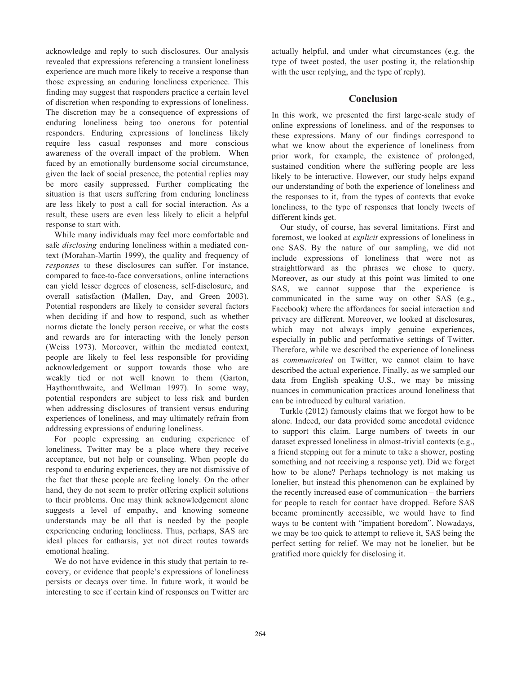acknowledge and reply to such disclosures. Our analysis revealed that expressions referencing a transient loneliness experience are much more likely to receive a response than those expressing an enduring loneliness experience. This finding may suggest that responders practice a certain level of discretion when responding to expressions of loneliness. The discretion may be a consequence of expressions of enduring loneliness being too onerous for potential responders. Enduring expressions of loneliness likely require less casual responses and more conscious awareness of the overall impact of the problem. When faced by an emotionally burdensome social circumstance, given the lack of social presence, the potential replies may be more easily suppressed. Further complicating the situation is that users suffering from enduring loneliness are less likely to post a call for social interaction. As a result, these users are even less likely to elicit a helpful response to start with.

While many individuals may feel more comfortable and safe *disclosing* enduring loneliness within a mediated context (Morahan-Martin 1999), the quality and frequency of *responses* to these disclosures can suffer. For instance, compared to face-to-face conversations, online interactions can yield lesser degrees of closeness, self-disclosure, and overall satisfaction (Mallen, Day, and Green 2003). Potential responders are likely to consider several factors when deciding if and how to respond, such as whether norms dictate the lonely person receive, or what the costs and rewards are for interacting with the lonely person (Weiss 1973). Moreover, within the mediated context, people are likely to feel less responsible for providing acknowledgement or support towards those who are weakly tied or not well known to them (Garton, Haythornthwaite, and Wellman 1997). In some way, potential responders are subject to less risk and burden when addressing disclosures of transient versus enduring experiences of loneliness, and may ultimately refrain from addressing expressions of enduring loneliness.

For people expressing an enduring experience of loneliness, Twitter may be a place where they receive acceptance, but not help or counseling. When people do respond to enduring experiences, they are not dismissive of the fact that these people are feeling lonely. On the other hand, they do not seem to prefer offering explicit solutions to their problems. One may think acknowledgement alone suggests a level of empathy, and knowing someone understands may be all that is needed by the people experiencing enduring loneliness. Thus, perhaps, SAS are ideal places for catharsis, yet not direct routes towards emotional healing.

We do not have evidence in this study that pertain to recovery, or evidence that people's expressions of loneliness persists or decays over time. In future work, it would be interesting to see if certain kind of responses on Twitter are actually helpful, and under what circumstances (e.g. the type of tweet posted, the user posting it, the relationship with the user replying, and the type of reply).

## **Conclusion**

In this work, we presented the first large-scale study of online expressions of loneliness, and of the responses to these expressions. Many of our findings correspond to what we know about the experience of loneliness from prior work, for example, the existence of prolonged, sustained condition where the suffering people are less likely to be interactive. However, our study helps expand our understanding of both the experience of loneliness and the responses to it, from the types of contexts that evoke loneliness, to the type of responses that lonely tweets of different kinds get.

Our study, of course, has several limitations. First and foremost, we looked at *explicit* expressions of loneliness in one SAS. By the nature of our sampling, we did not include expressions of loneliness that were not as straightforward as the phrases we chose to query. Moreover, as our study at this point was limited to one SAS, we cannot suppose that the experience is communicated in the same way on other SAS (e.g., Facebook) where the affordances for social interaction and privacy are different. Moreover, we looked at disclosures, which may not always imply genuine experiences, especially in public and performative settings of Twitter. Therefore, while we described the experience of loneliness as *communicated* on Twitter, we cannot claim to have described the actual experience. Finally, as we sampled our data from English speaking U.S., we may be missing nuances in communication practices around loneliness that can be introduced by cultural variation.

Turkle (2012) famously claims that we forgot how to be alone. Indeed, our data provided some anecdotal evidence to support this claim. Large numbers of tweets in our dataset expressed loneliness in almost-trivial contexts (e.g., a friend stepping out for a minute to take a shower, posting something and not receiving a response yet). Did we forget how to be alone? Perhaps technology is not making us lonelier, but instead this phenomenon can be explained by the recently increased ease of communication – the barriers for people to reach for contact have dropped. Before SAS became prominently accessible, we would have to find ways to be content with "impatient boredom". Nowadays, we may be too quick to attempt to relieve it, SAS being the perfect setting for relief. We may not be lonelier, but be gratified more quickly for disclosing it.